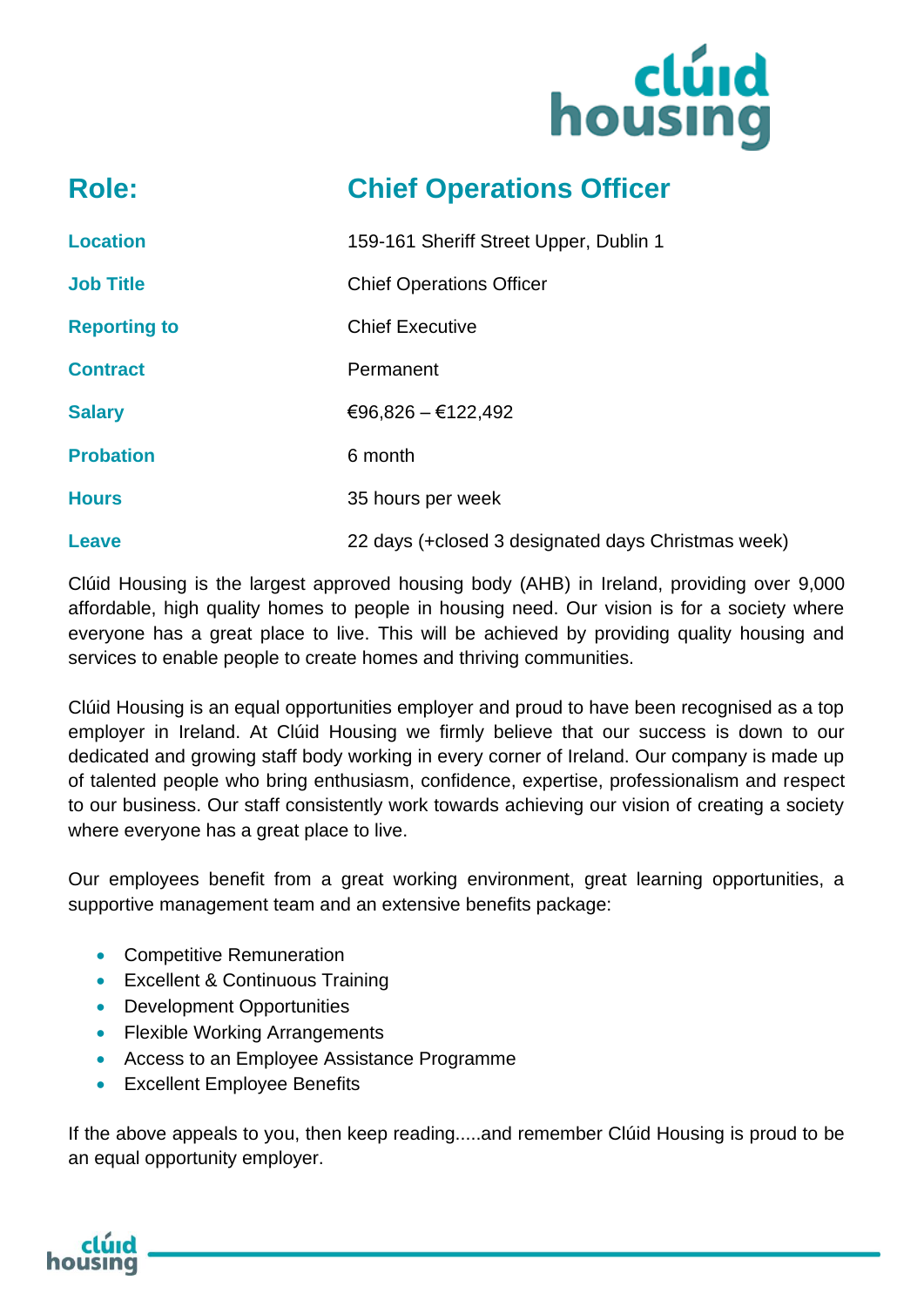

# **Role: Chief Operations Officer**

| <b>Location</b>     | 159-161 Sheriff Street Upper, Dublin 1             |
|---------------------|----------------------------------------------------|
| <b>Job Title</b>    | <b>Chief Operations Officer</b>                    |
| <b>Reporting to</b> | <b>Chief Executive</b>                             |
| <b>Contract</b>     | Permanent                                          |
| <b>Salary</b>       | €96,826 - €122,492                                 |
| <b>Probation</b>    | 6 month                                            |
| <b>Hours</b>        | 35 hours per week                                  |
| <b>Leave</b>        | 22 days (+closed 3 designated days Christmas week) |

Clúid Housing is the largest approved housing body (AHB) in Ireland, providing over 9,000 affordable, high quality homes to people in housing need. Our vision is for a society where everyone has a great place to live. This will be achieved by providing quality housing and services to enable people to create homes and thriving communities.

Clúid Housing is an equal opportunities employer and proud to have been recognised as a top employer in Ireland. At Clúid Housing we firmly believe that our success is down to our dedicated and growing staff body working in every corner of Ireland. Our company is made up of talented people who bring enthusiasm, confidence, expertise, professionalism and respect to our business. Our staff consistently work towards achieving our vision of creating a society where everyone has a great place to live.

Our employees benefit from a great working environment, great learning opportunities, a supportive management team and an extensive benefits package:

- Competitive Remuneration
- Excellent & Continuous Training
- Development Opportunities
- Flexible Working Arrangements
- Access to an Employee Assistance Programme
- Excellent Employee Benefits

If the above appeals to you, then keep reading.....and remember Clúid Housing is proud to be an equal opportunity employer.

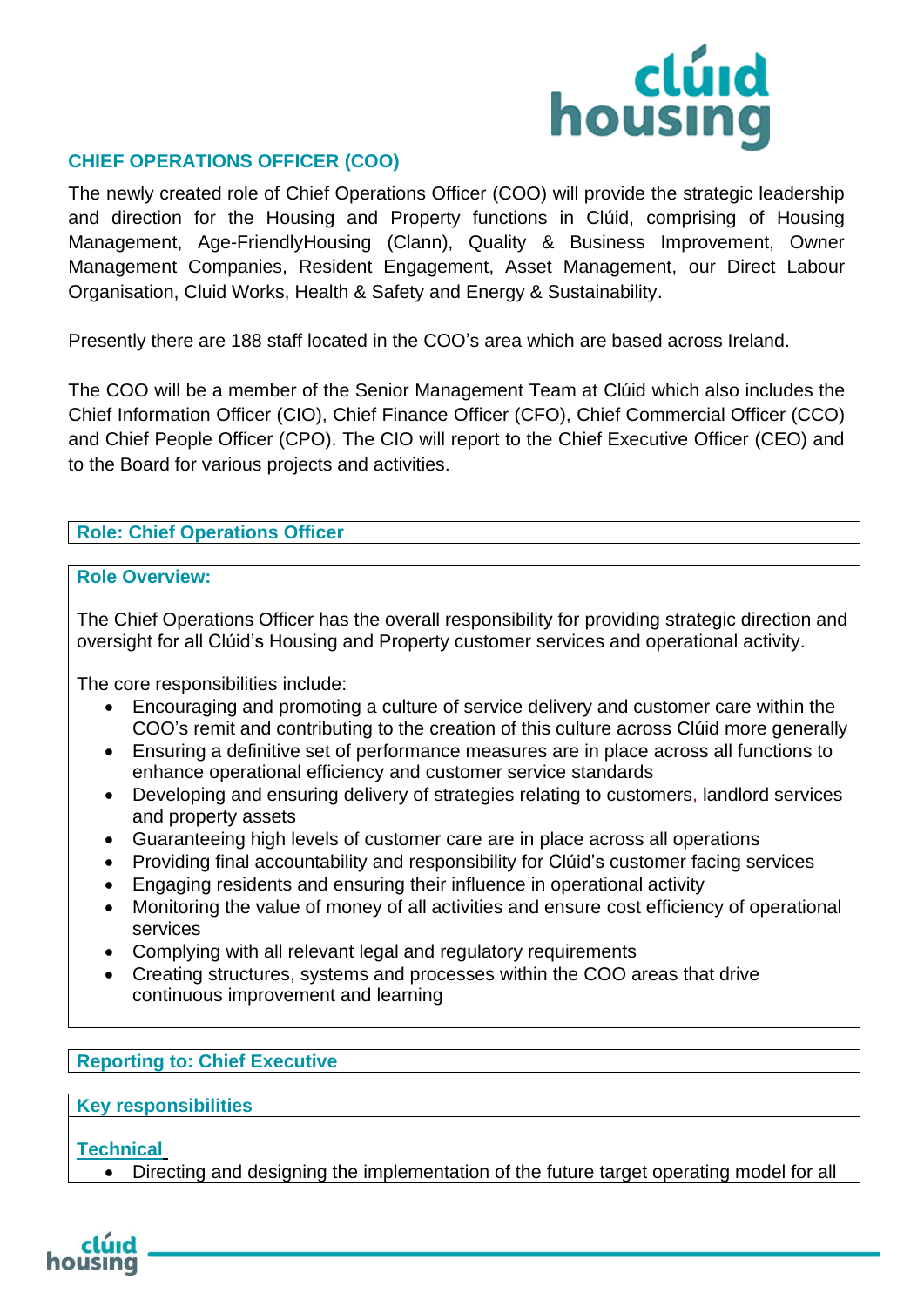

#### **CHIEF OPERATIONS OFFICER (COO)**

The newly created role of Chief Operations Officer (COO) will provide the strategic leadership and direction for the Housing and Property functions in Clúid, comprising of Housing Management, Age-FriendlyHousing (Clann), Quality & Business Improvement, Owner Management Companies, Resident Engagement, Asset Management, our Direct Labour Organisation, Cluid Works, Health & Safety and Energy & Sustainability.

Presently there are 188 staff located in the COO's area which are based across Ireland.

The COO will be a member of the Senior Management Team at Clúid which also includes the Chief Information Officer (CIO), Chief Finance Officer (CFO), Chief Commercial Officer (CCO) and Chief People Officer (CPO). The CIO will report to the Chief Executive Officer (CEO) and to the Board for various projects and activities.

#### **Role: Chief Operations Officer**

#### **Role Overview:**

The Chief Operations Officer has the overall responsibility for providing strategic direction and oversight for all Clúid's Housing and Property customer services and operational activity.

The core responsibilities include:

- Encouraging and promoting a culture of service delivery and customer care within the COO's remit and contributing to the creation of this culture across Clúid more generally
- Ensuring a definitive set of performance measures are in place across all functions to enhance operational efficiency and customer service standards
- Developing and ensuring delivery of strategies relating to customers, landlord services and property assets
- Guaranteeing high levels of customer care are in place across all operations
- Providing final accountability and responsibility for Clúid's customer facing services
- Engaging residents and ensuring their influence in operational activity
- Monitoring the value of money of all activities and ensure cost efficiency of operational services
- Complying with all relevant legal and regulatory requirements
- Creating structures, systems and processes within the COO areas that drive continuous improvement and learning

#### **Reporting to: Chief Executive**

#### **Key responsibilities**

#### **Technical**

• Directing and designing the implementation of the future target operating model for all

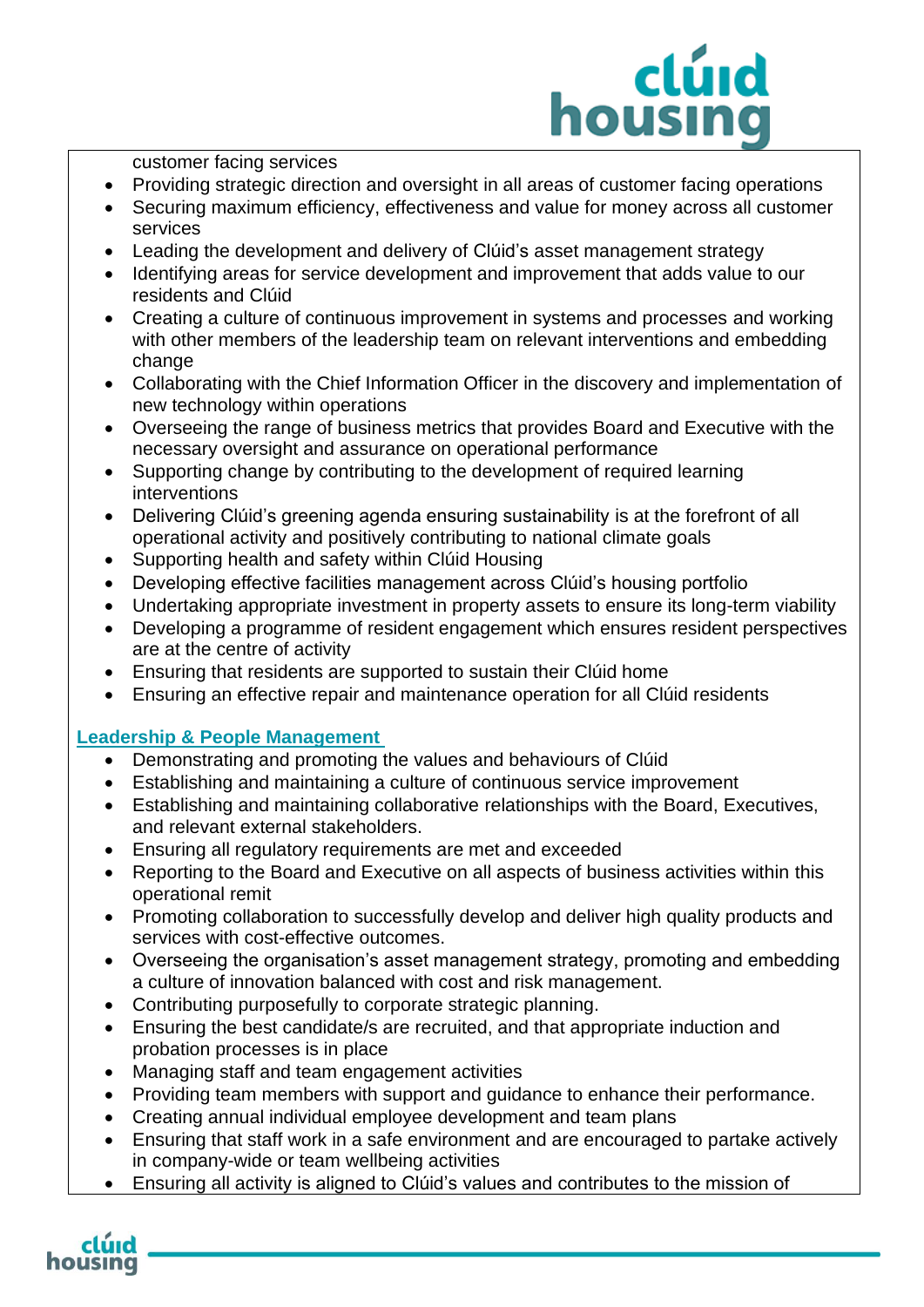# clúid housing

customer facing services

- Providing strategic direction and oversight in all areas of customer facing operations
- Securing maximum efficiency, effectiveness and value for money across all customer services
- Leading the development and delivery of Clúid's asset management strategy
- Identifying areas for service development and improvement that adds value to our residents and Clúid
- Creating a culture of continuous improvement in systems and processes and working with other members of the leadership team on relevant interventions and embedding change
- Collaborating with the Chief Information Officer in the discovery and implementation of new technology within operations
- Overseeing the range of business metrics that provides Board and Executive with the necessary oversight and assurance on operational performance
- Supporting change by contributing to the development of required learning interventions
- Delivering Clúid's greening agenda ensuring sustainability is at the forefront of all operational activity and positively contributing to national climate goals
- Supporting health and safety within Clúid Housing
- Developing effective facilities management across Clúid's housing portfolio
- Undertaking appropriate investment in property assets to ensure its long-term viability
- Developing a programme of resident engagement which ensures resident perspectives are at the centre of activity
- Ensuring that residents are supported to sustain their Clúid home
- Ensuring an effective repair and maintenance operation for all Clúid residents

#### **Leadership & People Management**

- Demonstrating and promoting the values and behaviours of Clúid
- Establishing and maintaining a culture of continuous service improvement
- Establishing and maintaining collaborative relationships with the Board, Executives, and relevant external stakeholders.
- Ensuring all regulatory requirements are met and exceeded
- Reporting to the Board and Executive on all aspects of business activities within this operational remit
- Promoting collaboration to successfully develop and deliver high quality products and services with cost-effective outcomes.
- Overseeing the organisation's asset management strategy, promoting and embedding a culture of innovation balanced with cost and risk management.
- Contributing purposefully to corporate strategic planning.
- Ensuring the best candidate/s are recruited, and that appropriate induction and probation processes is in place
- Managing staff and team engagement activities
- Providing team members with support and guidance to enhance their performance.
- Creating annual individual employee development and team plans
- Ensuring that staff work in a safe environment and are encouraged to partake actively in company-wide or team wellbeing activities
- Ensuring all activity is aligned to Clúid's values and contributes to the mission of

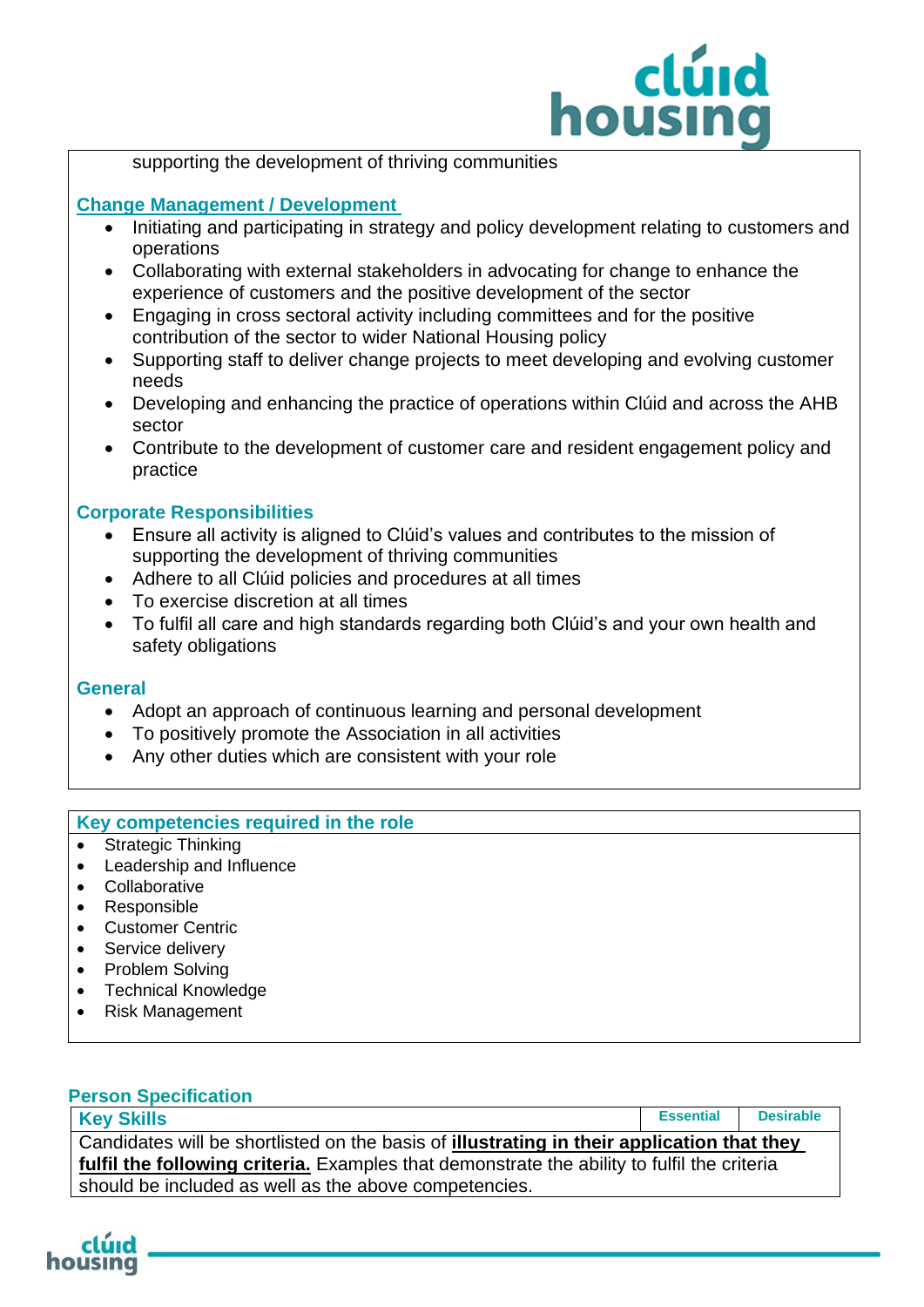# clúid housing

#### supporting the development of thriving communities

#### **Change Management / Development**

- Initiating and participating in strategy and policy development relating to customers and operations
- Collaborating with external stakeholders in advocating for change to enhance the experience of customers and the positive development of the sector
- Engaging in cross sectoral activity including committees and for the positive contribution of the sector to wider National Housing policy
- Supporting staff to deliver change projects to meet developing and evolving customer needs
- Developing and enhancing the practice of operations within Clúid and across the AHB sector
- Contribute to the development of customer care and resident engagement policy and practice

#### **Corporate Responsibilities**

- Ensure all activity is aligned to Clúid's values and contributes to the mission of supporting the development of thriving communities
- Adhere to all Clúid policies and procedures at all times
- To exercise discretion at all times
- To fulfil all care and high standards regarding both Clúid's and your own health and safety obligations

#### **General**

- Adopt an approach of continuous learning and personal development
- To positively promote the Association in all activities
- Any other duties which are consistent with your role

#### **Key competencies required in the role**

- Strategic Thinking
- Leadership and Influence
- Collaborative
- Responsible
- Customer Centric
- Service delivery
- Problem Solving
- Technical Knowledge
- Risk Management

#### **Person Specification**

| <b>Key Skills</b>                                                                           | <b>Essential</b> | <b>Desirable</b> |  |
|---------------------------------------------------------------------------------------------|------------------|------------------|--|
| Candidates will be shortlisted on the basis of illustrating in their application that they  |                  |                  |  |
| fulfil the following criteria. Examples that demonstrate the ability to fulfil the criteria |                  |                  |  |
| should be included as well as the above competencies.                                       |                  |                  |  |

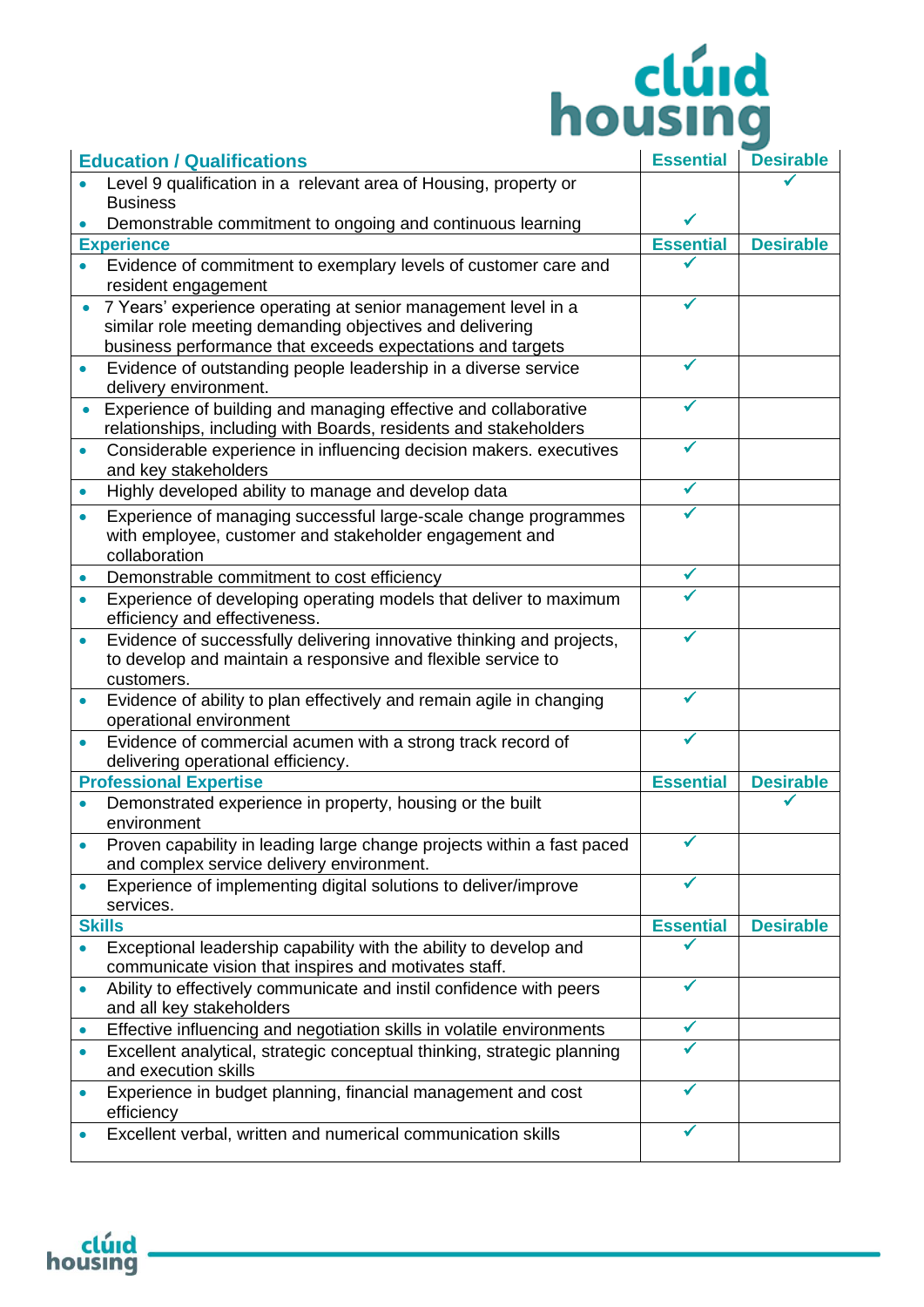# **Elúid**<br>housing

| <b>Education / Qualifications</b> |                                                                                                                                            | <b>Essential</b> | <b>Desirable</b> |
|-----------------------------------|--------------------------------------------------------------------------------------------------------------------------------------------|------------------|------------------|
|                                   | Level 9 qualification in a relevant area of Housing, property or                                                                           |                  |                  |
|                                   | <b>Business</b>                                                                                                                            |                  |                  |
|                                   | Demonstrable commitment to ongoing and continuous learning                                                                                 |                  |                  |
|                                   | <b>Experience</b>                                                                                                                          | <b>Essential</b> | <b>Desirable</b> |
|                                   | Evidence of commitment to exemplary levels of customer care and<br>resident engagement                                                     |                  |                  |
|                                   | 7 Years' experience operating at senior management level in a                                                                              |                  |                  |
|                                   | similar role meeting demanding objectives and delivering                                                                                   |                  |                  |
|                                   | business performance that exceeds expectations and targets                                                                                 |                  |                  |
| $\bullet$                         | Evidence of outstanding people leadership in a diverse service<br>delivery environment.                                                    |                  |                  |
| $\bullet$                         | Experience of building and managing effective and collaborative                                                                            |                  |                  |
|                                   | relationships, including with Boards, residents and stakeholders                                                                           |                  |                  |
| $\bullet$                         | Considerable experience in influencing decision makers. executives<br>and key stakeholders                                                 |                  |                  |
| $\bullet$                         | Highly developed ability to manage and develop data                                                                                        | ✓                |                  |
| $\bullet$                         | Experience of managing successful large-scale change programmes<br>with employee, customer and stakeholder engagement and<br>collaboration |                  |                  |
| $\bullet$                         | Demonstrable commitment to cost efficiency                                                                                                 |                  |                  |
| $\bullet$                         | Experience of developing operating models that deliver to maximum                                                                          |                  |                  |
|                                   | efficiency and effectiveness.                                                                                                              |                  |                  |
| $\bullet$                         | Evidence of successfully delivering innovative thinking and projects,                                                                      |                  |                  |
|                                   | to develop and maintain a responsive and flexible service to<br>customers.                                                                 |                  |                  |
| $\bullet$                         | Evidence of ability to plan effectively and remain agile in changing<br>operational environment                                            |                  |                  |
|                                   | Evidence of commercial acumen with a strong track record of<br>delivering operational efficiency.                                          |                  |                  |
| <b>Professional Expertise</b>     |                                                                                                                                            | <b>Essential</b> | <b>Desirable</b> |
|                                   | Demonstrated experience in property, housing or the built<br>environment                                                                   |                  |                  |
|                                   | Proven capability in leading large change projects within a fast paced<br>and complex service delivery environment.                        |                  |                  |
| $\bullet$                         | Experience of implementing digital solutions to deliver/improve<br>services.                                                               |                  |                  |
|                                   | <b>Skills</b>                                                                                                                              | <b>Essential</b> | <b>Desirable</b> |
|                                   | Exceptional leadership capability with the ability to develop and<br>communicate vision that inspires and motivates staff.                 |                  |                  |
| $\bullet$                         | Ability to effectively communicate and instil confidence with peers<br>and all key stakeholders                                            |                  |                  |
| ۰                                 | Effective influencing and negotiation skills in volatile environments                                                                      |                  |                  |
| $\bullet$                         | Excellent analytical, strategic conceptual thinking, strategic planning<br>and execution skills                                            |                  |                  |
| ۰                                 | Experience in budget planning, financial management and cost<br>efficiency                                                                 | ✔                |                  |
|                                   | Excellent verbal, written and numerical communication skills                                                                               | ✔                |                  |

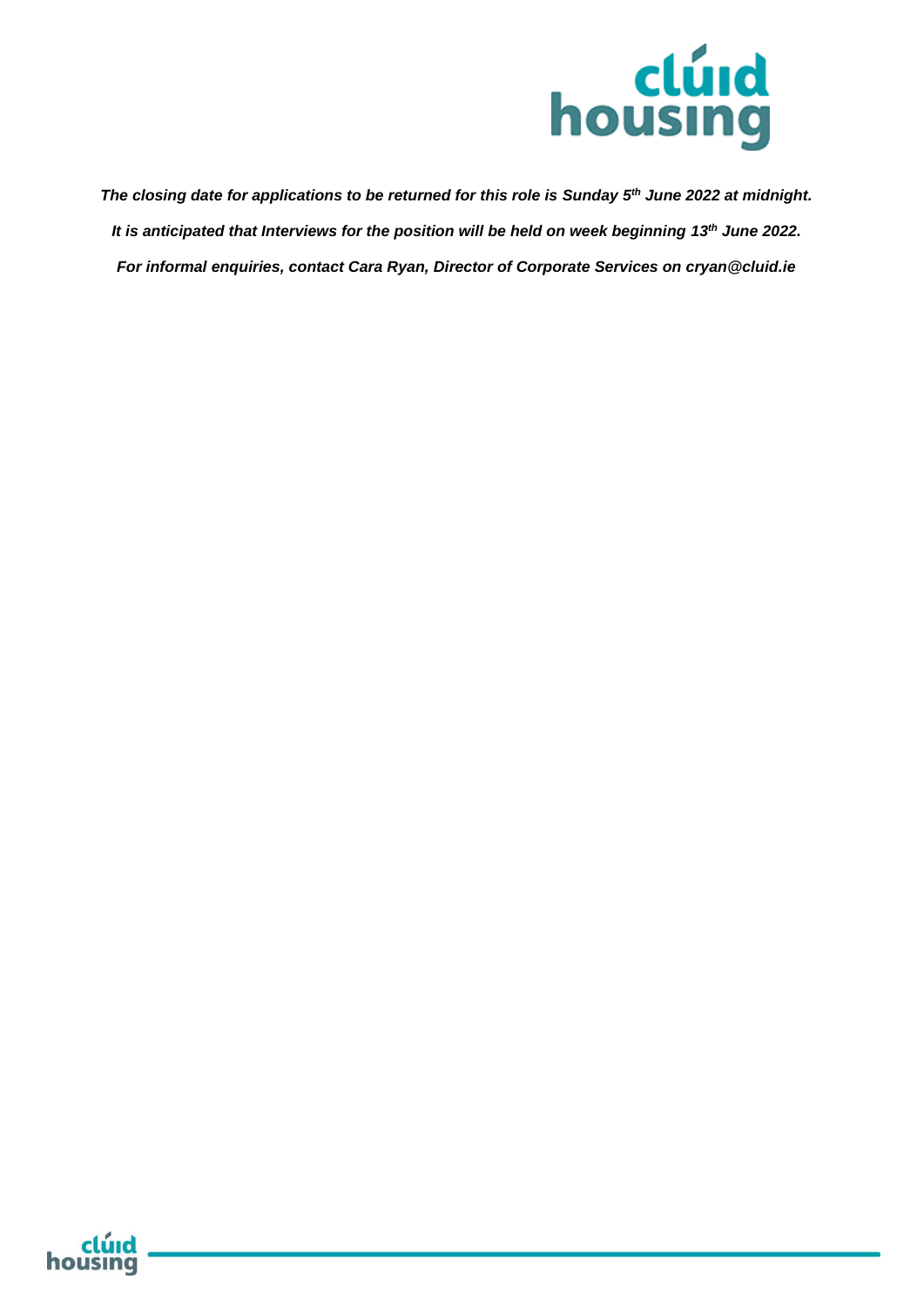

*The closing date for applications to be returned for this role is Sunday 5th June 2022 at midnight. It is anticipated that Interviews for the position will be held on week beginning 13th June 2022. For informal enquiries, contact Cara Ryan, Director of Corporate Services on cryan@cluid.ie*